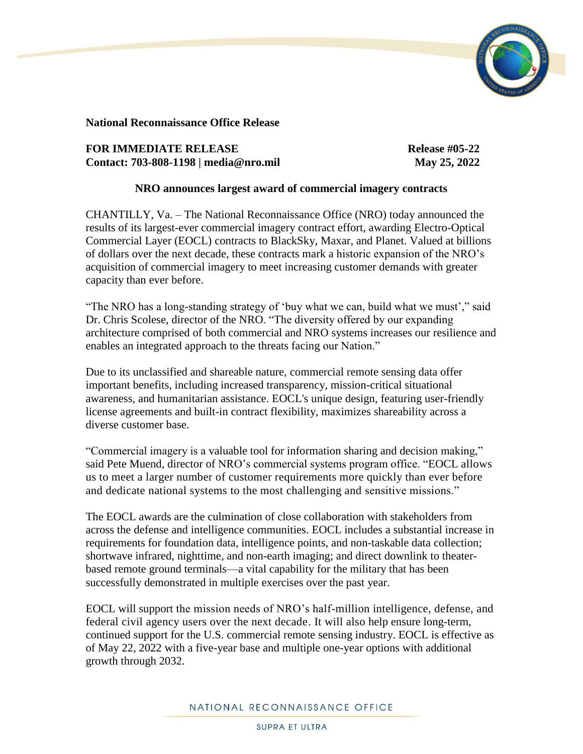

**National Reconnaissance Office Release**

## **FOR IMMEDIATE RELEASE Release #05-22 Contact: 703-808-1198 | media@nro.mil May 25, 2022**

## **NRO announces largest award of commercial imagery contracts**

CHANTILLY, Va. – The National Reconnaissance Office (NRO) today announced the results of its largest-ever commercial imagery contract effort, awarding Electro-Optical Commercial Layer (EOCL) contracts to BlackSky, Maxar, and Planet. Valued at billions of dollars over the next decade, these contracts mark a historic expansion of the NRO's acquisition of commercial imagery to meet increasing customer demands with greater capacity than ever before.

"The NRO has a long-standing strategy of 'buy what we can, build what we must'," said Dr. Chris Scolese, director of the NRO. "The diversity offered by our expanding architecture comprised of both commercial and NRO systems increases our resilience and enables an integrated approach to the threats facing our Nation."

Due to its unclassified and shareable nature, commercial remote sensing data offer important benefits, including increased transparency, mission-critical situational awareness, and humanitarian assistance. EOCL's unique design, featuring user-friendly license agreements and built-in contract flexibility, maximizes shareability across a diverse customer base.

"Commercial imagery is a valuable tool for information sharing and decision making," said Pete Muend, director of NRO's commercial systems program office. "EOCL allows us to meet a larger number of customer requirements more quickly than ever before and dedicate national systems to the most challenging and sensitive missions."

The EOCL awards are the culmination of close collaboration with stakeholders from across the defense and intelligence communities. EOCL includes a substantial increase in requirements for foundation data, intelligence points, and non-taskable data collection; shortwave infrared, nighttime, and non-earth imaging; and direct downlink to theaterbased remote ground terminals—a vital capability for the military that has been successfully demonstrated in multiple exercises over the past year.

EOCL will support the mission needs of NRO's half-million intelligence, defense, and federal civil agency users over the next decade. It will also help ensure long-term, continued support for the U.S. commercial remote sensing industry. EOCL is effective as of May 22, 2022 with a five-year base and multiple one-year options with additional growth through 2032.

## NATIONAL RECONNAISSANCE OFFICE